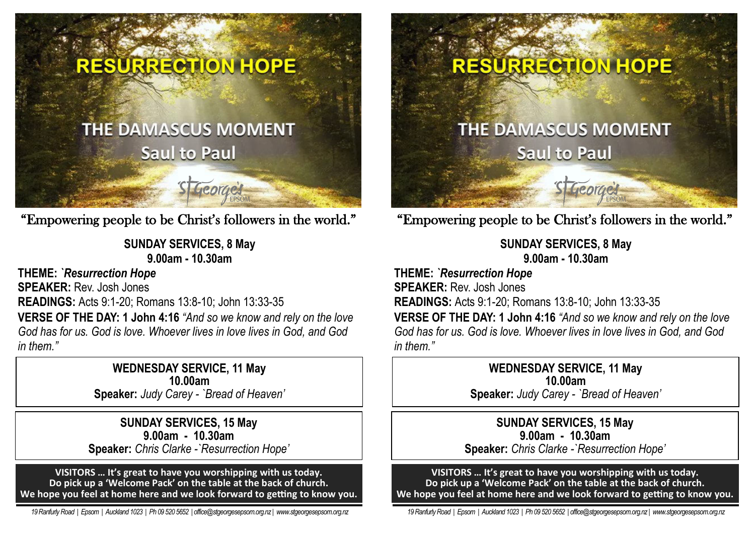

"Empowering people to be Christ's followers in the world."

**SUNDAY SERVICES, 8 May 9.00am - 10.30am** 

**THEME:** *`Resurrection Hope* 

**SPEAKER:** Rev. Josh Jones

**READINGS:** Acts 9:1-20; Romans 13:8-10; John 13:33-35

**VERSE OF THE DAY: 1 John 4:16** *"And so we know and rely on the love God has for us. God is love. Whoever lives in love lives in God, and God in them."*

> **WEDNESDAY SERVICE, 11 May 10.00am Speaker:** *Judy Carey - `Bread of Heaven'*

**SUNDAY SERVICES, 15 May 9.00am - 10.30am Speaker:** *Chris Clarke -`Resurrection Hope'*

**VISITORS … It's great to have you worshipping with us today. Do pick up a 'Welcome Pack' on the table at the back of church. We hope you feel at home here and we look forward to getting to know you.**

 *19 Ranfurly Road | Epsom | Auckland 1023 | Ph 09 520 5652 | office@stgeorgesepsom.org.nz | www.stgeorgesepsom.org.nz* 

# RESURRECTION HOPE

# **THE DAMASCUS MOMENT Saul to Paul**

"Empowering people to be Christ's followers in the world."

St George's

**SUNDAY SERVICES, 8 May 9.00am - 10.30am** 

**THEME:** *`Resurrection Hope*  **SPEAKER:** Rev. Josh Jones **READINGS:** Acts 9:1-20; Romans 13:8-10; John 13:33-35

**VERSE OF THE DAY: 1 John 4:16** *"And so we know and rely on the love God has for us. God is love. Whoever lives in love lives in God, and God in them."*

> **WEDNESDAY SERVICE, 11 May 10.00am**

**Speaker:** *Judy Carey - `Bread of Heaven'*

**SUNDAY SERVICES, 15 May 9.00am - 10.30am Speaker:** *Chris Clarke -`Resurrection Hope'*

**VISITORS … It's great to have you worshipping with us today. Do pick up a 'Welcome Pack' on the table at the back of church. We hope you feel at home here and we look forward to getting to know you.**

 *19 Ranfurly Road | Epsom | Auckland 1023 | Ph 09 520 5652 | office@stgeorgesepsom.org.nz | www.stgeorgesepsom.org.nz*